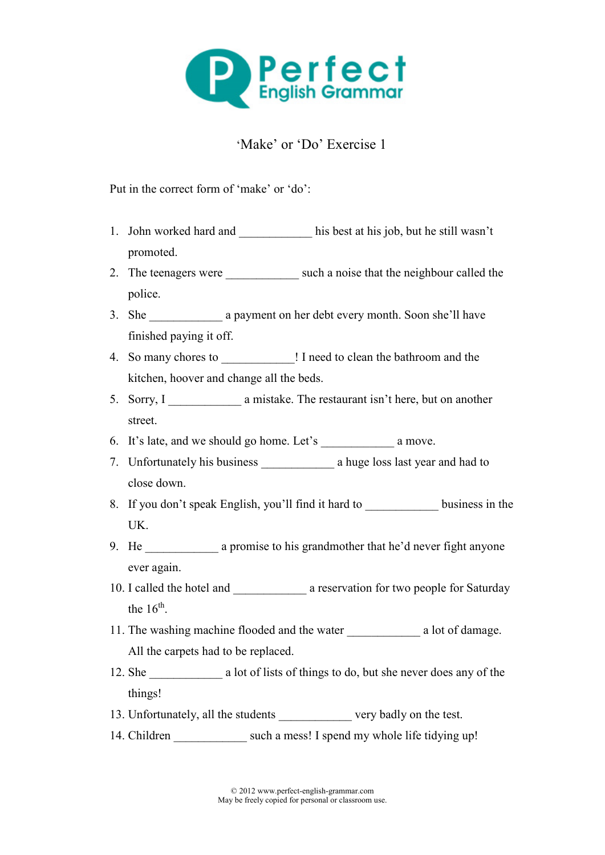

## 'Make' or 'Do' Exercise 1

Put in the correct form of 'make' or 'do':

- 1. John worked hard and <br>his best at his job, but he still wasn't promoted.
- 2. The teenagers were such a noise that the neighbour called the police.
- 3. She a payment on her debt every month. Soon she'll have finished paying it off.
- 4. So many chores to \_\_\_\_\_\_\_\_\_\_\_\_ ! I need to clean the bathroom and the kitchen, hoover and change all the beds.
- 5. Sorry, I \_\_\_\_\_\_\_\_\_\_\_\_\_\_\_\_\_ a mistake. The restaurant isn't here, but on another street.
- 6. It's late, and we should go home. Let's a move.
- 7. Unfortunately his business a huge loss last year and had to close down.
- 8. If you don't speak English, you'll find it hard to business in the UK.
- 9. He a promise to his grandmother that he'd never fight anyone ever again.
- 10. I called the hotel and  $\qquad \qquad$  a reservation for two people for Saturday the  $16^{th}$ .
- 11. The washing machine flooded and the water a lot of damage. All the carpets had to be replaced.
- 12. She a lot of lists of things to do, but she never does any of the things!
- 13. Unfortunately, all the students very badly on the test.
- 14. Children such a mess! I spend my whole life tidying up!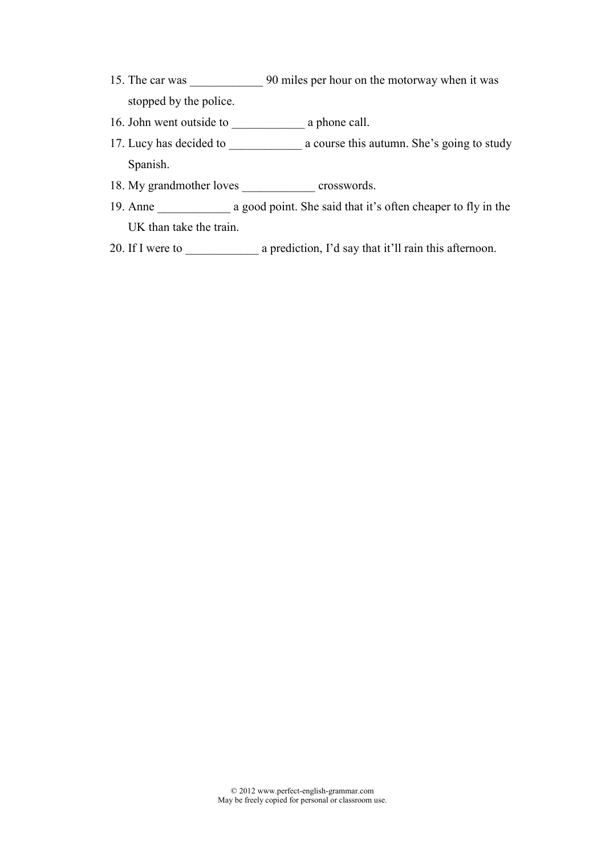- 15. The car was \_\_\_\_\_\_\_\_\_\_\_\_ 90 miles per hour on the motorway when it was stopped by the police.
- 16. John went outside to \_\_\_\_\_\_\_\_\_\_\_\_ a phone call.
- 17. Lucy has decided to a course this autumn. She's going to study Spanish.
- 18. My grandmother loves crosswords.
- 19. Anne a good point. She said that it's often cheaper to fly in the UK than take the train.
- 20. If I were to \_\_\_\_\_\_\_\_\_\_\_\_ a prediction, I'd say that it'll rain this afternoon.